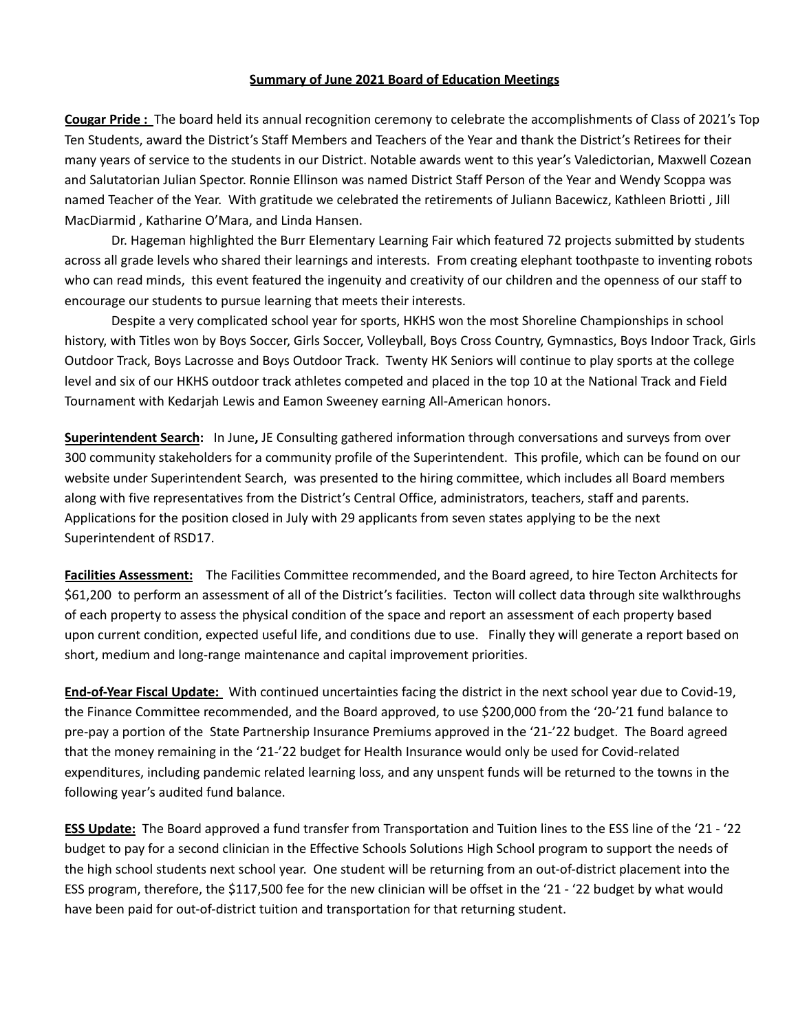## **Summary of June 2021 Board of Education Meetings**

**Cougar Pride :** The board held its annual recognition ceremony to celebrate the accomplishments of Class of 2021's Top Ten Students, award the District's Staff Members and Teachers of the Year and thank the District's Retirees for their many years of service to the students in our District. Notable awards went to this year's Valedictorian, Maxwell Cozean and Salutatorian Julian Spector. Ronnie Ellinson was named District Staff Person of the Year and Wendy Scoppa was named Teacher of the Year. With gratitude we celebrated the retirements of Juliann Bacewicz, Kathleen Briotti , Jill MacDiarmid , Katharine O'Mara, and Linda Hansen.

Dr. Hageman highlighted the Burr Elementary Learning Fair which featured 72 projects submitted by students across all grade levels who shared their learnings and interests. From creating elephant toothpaste to inventing robots who can read minds, this event featured the ingenuity and creativity of our children and the openness of our staff to encourage our students to pursue learning that meets their interests.

Despite a very complicated school year for sports, HKHS won the most Shoreline Championships in school history, with Titles won by Boys Soccer, Girls Soccer, Volleyball, Boys Cross Country, Gymnastics, Boys Indoor Track, Girls Outdoor Track, Boys Lacrosse and Boys Outdoor Track. Twenty HK Seniors will continue to play sports at the college level and six of our HKHS outdoor track athletes competed and placed in the top 10 at the National Track and Field Tournament with Kedarjah Lewis and Eamon Sweeney earning All-American honors.

**Superintendent Search:** In June**,** JE Consulting gathered information through conversations and surveys from over 300 community stakeholders for a community profile of the Superintendent. This profile, which can be found on our website under Superintendent Search, was presented to the hiring committee, which includes all Board members along with five representatives from the District's Central Office, administrators, teachers, staff and parents. Applications for the position closed in July with 29 applicants from seven states applying to be the next Superintendent of RSD17.

**Facilities Assessment:** The Facilities Committee recommended, and the Board agreed, to hire Tecton Architects for \$61,200 to perform an assessment of all of the District's facilities. Tecton will collect data through site walkthroughs of each property to assess the physical condition of the space and report an assessment of each property based upon current condition, expected useful life, and conditions due to use. Finally they will generate a report based on short, medium and long-range maintenance and capital improvement priorities.

**End-of-Year Fiscal Update:** With continued uncertainties facing the district in the next school year due to Covid-19, the Finance Committee recommended, and the Board approved, to use \$200,000 from the '20-'21 fund balance to pre-pay a portion of the State Partnership Insurance Premiums approved in the '21-'22 budget. The Board agreed that the money remaining in the '21-'22 budget for Health Insurance would only be used for Covid-related expenditures, including pandemic related learning loss, and any unspent funds will be returned to the towns in the following year's audited fund balance.

**ESS Update:** The Board approved a fund transfer from Transportation and Tuition lines to the ESS line of the '21 - '22 budget to pay for a second clinician in the Effective Schools Solutions High School program to support the needs of the high school students next school year. One student will be returning from an out-of-district placement into the ESS program, therefore, the \$117,500 fee for the new clinician will be offset in the '21 - '22 budget by what would have been paid for out-of-district tuition and transportation for that returning student.